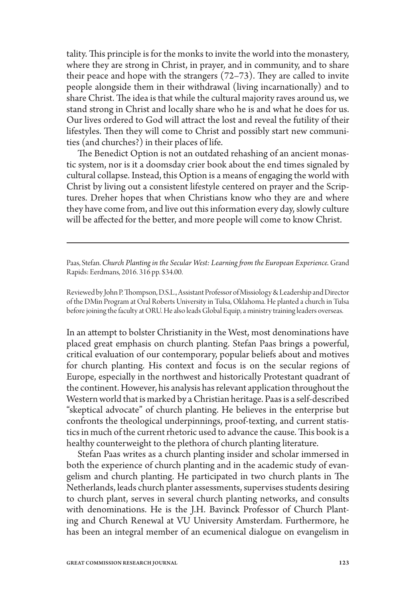tality. This principle is for the monks to invite the world into the monastery, where they are strong in Christ, in prayer, and in community, and to share their peace and hope with the strangers (72–73). They are called to invite people alongside them in their withdrawal (living incarnationally) and to share Christ. The idea is that while the cultural majority raves around us, we stand strong in Christ and locally share who he is and what he does for us. Our lives ordered to God will attract the lost and reveal the futility of their lifestyles. Then they will come to Christ and possibly start new communities (and churches?) in their places of life.

The Benedict Option is not an outdated rehashing of an ancient monastic system, nor is it a doomsday crier book about the end times signaled by cultural collapse. Instead, this Option is a means of engaging the world with Christ by living out a consistent lifestyle centered on prayer and the Scriptures. Dreher hopes that when Christians know who they are and where they have come from, and live out this information every day, slowly culture will be affected for the better, and more people will come to know Christ.

Paas, Stefan. *Church Planting in the Secular West: Learning from the European Experience.* Grand Rapids: Eerdmans, 2016. 316 pp. \$34.00.

Reviewed by John P. Thompson, D.S.L., Assistant Professor of Missiology & Leadership and Director of the DMin Program at Oral Roberts University in Tulsa, Oklahoma. He planted a church in Tulsa before joining the faculty at ORU. He also leads Global Equip, a ministry training leaders overseas.

In an attempt to bolster Christianity in the West, most denominations have placed great emphasis on church planting. Stefan Paas brings a powerful, critical evaluation of our contemporary, popular beliefs about and motives for church planting. His context and focus is on the secular regions of Europe, especially in the northwest and historically Protestant quadrant of the continent. However, his analysis has relevant application throughout the Western world that is marked by a Christian heritage. Paas is a self-described "skeptical advocate" of church planting. He believes in the enterprise but confronts the theological underpinnings, proof-texting, and current statistics in much of the current rhetoric used to advance the cause. This book is a healthy counterweight to the plethora of church planting literature.

Stefan Paas writes as a church planting insider and scholar immersed in both the experience of church planting and in the academic study of evangelism and church planting. He participated in two church plants in The Netherlands, leads church planter assessments, supervises students desiring to church plant, serves in several church planting networks, and consults with denominations. He is the J.H. Bavinck Professor of Church Planting and Church Renewal at VU University Amsterdam. Furthermore, he has been an integral member of an ecumenical dialogue on evangelism in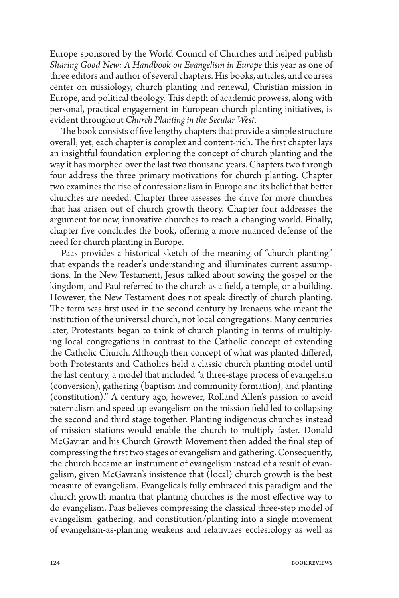Europe sponsored by the World Council of Churches and helped publish *Sharing Good New: A Handbook on Evangelism in Europe* this year as one of three editors and author of several chapters. His books, articles, and courses center on missiology, church planting and renewal, Christian mission in Europe, and political theology. This depth of academic prowess, along with personal, practical engagement in European church planting initiatives, is evident throughout *Church Planting in the Secular West*.

The book consists of five lengthy chapters that provide a simple structure overall; yet, each chapter is complex and content-rich. The first chapter lays an insightful foundation exploring the concept of church planting and the way it has morphed over the last two thousand years. Chapters two through four address the three primary motivations for church planting. Chapter two examines the rise of confessionalism in Europe and its belief that better churches are needed. Chapter three assesses the drive for more churches that has arisen out of church growth theory. Chapter four addresses the argument for new, innovative churches to reach a changing world. Finally, chapter five concludes the book, offering a more nuanced defense of the need for church planting in Europe.

Paas provides a historical sketch of the meaning of "church planting" that expands the reader's understanding and illuminates current assumptions. In the New Testament, Jesus talked about sowing the gospel or the kingdom, and Paul referred to the church as a field, a temple, or a building. However, the New Testament does not speak directly of church planting. The term was first used in the second century by Irenaeus who meant the institution of the universal church, not local congregations. Many centuries later, Protestants began to think of church planting in terms of multiplying local congregations in contrast to the Catholic concept of extending the Catholic Church. Although their concept of what was planted differed, both Protestants and Catholics held a classic church planting model until the last century, a model that included "a three-stage process of evangelism (conversion), gathering (baptism and community formation), and planting (constitution)." A century ago, however, Rolland Allen's passion to avoid paternalism and speed up evangelism on the mission field led to collapsing the second and third stage together. Planting indigenous churches instead of mission stations would enable the church to multiply faster. Donald McGavran and his Church Growth Movement then added the final step of compressing the first two stages of evangelism and gathering. Consequently, the church became an instrument of evangelism instead of a result of evangelism, given McGavran's insistence that (local) church growth is the best measure of evangelism. Evangelicals fully embraced this paradigm and the church growth mantra that planting churches is the most effective way to do evangelism. Paas believes compressing the classical three-step model of evangelism, gathering, and constitution/planting into a single movement of evangelism-as-planting weakens and relativizes ecclesiology as well as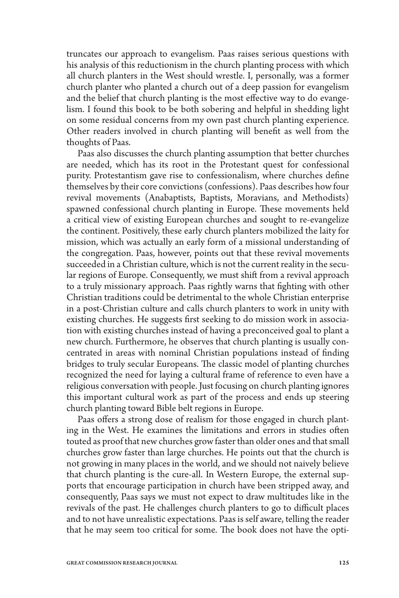truncates our approach to evangelism. Paas raises serious questions with his analysis of this reductionism in the church planting process with which all church planters in the West should wrestle. I, personally, was a former church planter who planted a church out of a deep passion for evangelism and the belief that church planting is the most effective way to do evangelism. I found this book to be both sobering and helpful in shedding light on some residual concerns from my own past church planting experience. Other readers involved in church planting will benefit as well from the thoughts of Paas.

Paas also discusses the church planting assumption that better churches are needed, which has its root in the Protestant quest for confessional purity. Protestantism gave rise to confessionalism, where churches define themselves by their core convictions (confessions). Paas describes how four revival movements (Anabaptists, Baptists, Moravians, and Methodists) spawned confessional church planting in Europe. These movements held a critical view of existing European churches and sought to re-evangelize the continent. Positively, these early church planters mobilized the laity for mission, which was actually an early form of a missional understanding of the congregation. Paas, however, points out that these revival movements succeeded in a Christian culture, which is not the current reality in the secular regions of Europe. Consequently, we must shift from a revival approach to a truly missionary approach. Paas rightly warns that fighting with other Christian traditions could be detrimental to the whole Christian enterprise in a post-Christian culture and calls church planters to work in unity with existing churches. He suggests first seeking to do mission work in association with existing churches instead of having a preconceived goal to plant a new church. Furthermore, he observes that church planting is usually concentrated in areas with nominal Christian populations instead of finding bridges to truly secular Europeans. The classic model of planting churches recognized the need for laying a cultural frame of reference to even have a religious conversation with people. Just focusing on church planting ignores this important cultural work as part of the process and ends up steering church planting toward Bible belt regions in Europe.

Paas offers a strong dose of realism for those engaged in church planting in the West. He examines the limitations and errors in studies often touted as proof that new churches grow faster than older ones and that small churches grow faster than large churches. He points out that the church is not growing in many places in the world, and we should not naively believe that church planting is the cure-all. In Western Europe, the external supports that encourage participation in church have been stripped away, and consequently, Paas says we must not expect to draw multitudes like in the revivals of the past. He challenges church planters to go to difficult places and to not have unrealistic expectations. Paas is self aware, telling the reader that he may seem too critical for some. The book does not have the opti